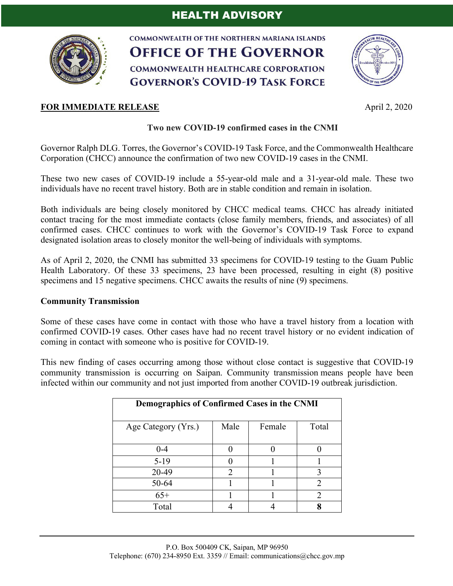

**COMMONWEALTH OF THE NORTHERN MARIANA ISLANDS OFFICE OF THE GOVERNOR COMMONWEALTH HEALTHCARE CORPORATION GOVERNOR'S COVID-19 TASK FORCE** 



## **Two new COVID-19 confirmed cases in the CNMI**

Governor Ralph DLG. Torres, the Governor's COVID-19 Task Force, and the Commonwealth Healthcare Corporation (CHCC) announce the confirmation of two new COVID-19 cases in the CNMI.

These two new cases of COVID-19 include a 55-year-old male and a 31-year-old male. These two individuals have no recent travel history. Both are in stable condition and remain in isolation.

Both individuals are being closely monitored by CHCC medical teams. CHCC has already initiated contact tracing for the most immediate contacts (close family members, friends, and associates) of all confirmed cases. CHCC continues to work with the Governor's COVID-19 Task Force to expand designated isolation areas to closely monitor the well-being of individuals with symptoms.

As of April 2, 2020, the CNMI has submitted 33 specimens for COVID-19 testing to the Guam Public Health Laboratory. Of these 33 specimens, 23 have been processed, resulting in eight (8) positive specimens and 15 negative specimens. CHCC awaits the results of nine (9) specimens.

### **Community Transmission**

Some of these cases have come in contact with those who have a travel history from a location with confirmed COVID-19 cases. Other cases have had no recent travel history or no evident indication of coming in contact with someone who is positive for COVID-19.

This new finding of cases occurring among those without close contact is suggestive that COVID-19 community transmission is occurring on Saipan. Community transmission means people have been infected within our community and not just imported from another COVID-19 outbreak jurisdiction.

| Demographics of Confirmed Cases in the CNMI |                |        |       |
|---------------------------------------------|----------------|--------|-------|
| Age Category (Yrs.)                         | Male           | Female | Total |
| $0 - 4$                                     |                |        |       |
| $5-19$                                      |                |        |       |
| 20-49                                       | $\mathfrak{D}$ |        |       |
| 50-64                                       |                |        |       |
| $65+$                                       |                |        |       |
| Total                                       |                |        |       |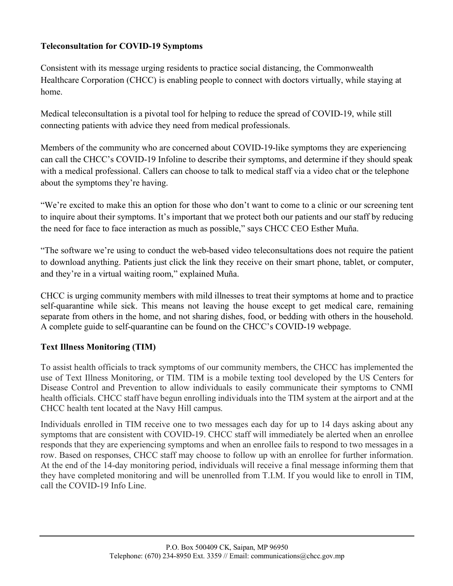## **Teleconsultation for COVID-19 Symptoms**

Consistent with its message urging residents to practice social distancing, the Commonwealth Healthcare Corporation (CHCC) is enabling people to connect with doctors virtually, while staying at home.

Medical teleconsultation is a pivotal tool for helping to reduce the spread of COVID-19, while still connecting patients with advice they need from medical professionals.

Members of the community who are concerned about COVID-19-like symptoms they are experiencing can call the CHCC's COVID-19 Infoline to describe their symptoms, and determine if they should speak with a medical professional. Callers can choose to talk to medical staff via a video chat or the telephone about the symptoms they're having.

"We're excited to make this an option for those who don't want to come to a clinic or our screening tent to inquire about their symptoms. It's important that we protect both our patients and our staff by reducing the need for face to face interaction as much as possible," says CHCC CEO Esther Muña.

"The software we're using to conduct the web-based video teleconsultations does not require the patient to download anything. Patients just click the link they receive on their smart phone, tablet, or computer, and they're in a virtual waiting room," explained Muña.

CHCC is urging community members with mild illnesses to treat their symptoms at home and to practice self-quarantine while sick. This means not leaving the house except to get medical care, remaining separate from others in the home, and not sharing dishes, food, or bedding with others in the household. A complete guide to self-quarantine can be found on the CHCC's COVID-19 webpage.

### **Text Illness Monitoring (TIM)**

To assist health officials to track symptoms of our community members, the CHCC has implemented the use of Text Illness Monitoring, or TIM. TIM is a mobile texting tool developed by the US Centers for Disease Control and Prevention to allow individuals to easily communicate their symptoms to CNMI health officials. CHCC staff have begun enrolling individuals into the TIM system at the airport and at the CHCC health tent located at the Navy Hill campus.

Individuals enrolled in TIM receive one to two messages each day for up to 14 days asking about any symptoms that are consistent with COVID-19. CHCC staff will immediately be alerted when an enrollee responds that they are experiencing symptoms and when an enrollee fails to respond to two messages in a row. Based on responses, CHCC staff may choose to follow up with an enrollee for further information. At the end of the 14-day monitoring period, individuals will receive a final message informing them that they have completed monitoring and will be unenrolled from T.I.M. If you would like to enroll in TIM, call the COVID-19 Info Line.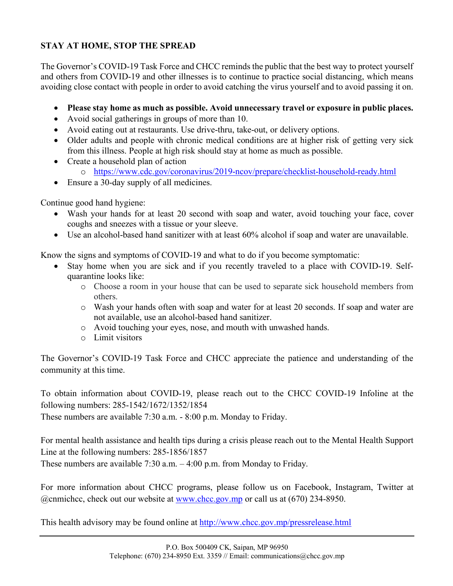# **STAY AT HOME, STOP THE SPREAD**

The Governor's COVID-19 Task Force and CHCC reminds the public that the best way to protect yourself and others from COVID-19 and other illnesses is to continue to practice social distancing, which means avoiding close contact with people in order to avoid catching the virus yourself and to avoid passing it on.

- **Please stay home as much as possible. Avoid unnecessary travel or exposure in public places.**
- Avoid social gatherings in groups of more than 10.
- Avoid eating out at restaurants. Use drive-thru, take-out, or delivery options.
- Older adults and people with chronic medical conditions are at higher risk of getting very sick from this illness. People at high risk should stay at home as much as possible.
- Create a household plan of action
	- o https://www.cdc.gov/coronavirus/2019-ncov/prepare/checklist-household-ready.html
- Ensure a 30-day supply of all medicines.

Continue good hand hygiene:

- Wash your hands for at least 20 second with soap and water, avoid touching your face, cover coughs and sneezes with a tissue or your sleeve.
- Use an alcohol-based hand sanitizer with at least 60% alcohol if soap and water are unavailable.

Know the signs and symptoms of COVID-19 and what to do if you become symptomatic:

- Stay home when you are sick and if you recently traveled to a place with COVID-19. Selfquarantine looks like:
	- o Choose a room in your house that can be used to separate sick household members from others.
	- o Wash your hands often with soap and water for at least 20 seconds. If soap and water are not available, use an alcohol-based hand sanitizer.
	- o Avoid touching your eyes, nose, and mouth with unwashed hands.
	- o Limit visitors

The Governor's COVID-19 Task Force and CHCC appreciate the patience and understanding of the community at this time.

To obtain information about COVID-19, please reach out to the CHCC COVID-19 Infoline at the following numbers: 285-1542/1672/1352/1854

These numbers are available 7:30 a.m. - 8:00 p.m. Monday to Friday.

For mental health assistance and health tips during a crisis please reach out to the Mental Health Support Line at the following numbers: 285-1856/1857

These numbers are available 7:30 a.m. – 4:00 p.m. from Monday to Friday.

For more information about CHCC programs, please follow us on Facebook, Instagram, Twitter at @cnmichcc, check out our website at www.chcc.gov.mp or call us at (670) 234-8950.

This health advisory may be found online at http://www.chcc.gov.mp/pressrelease.html